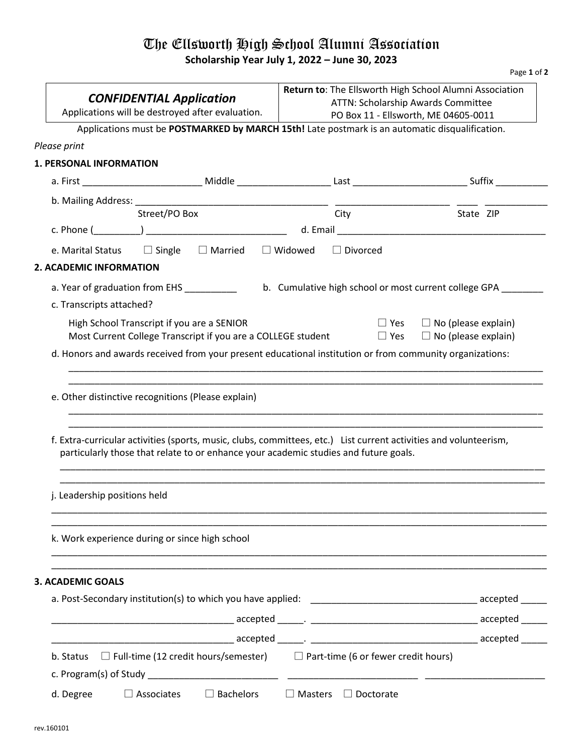## The Ellsworth High School Alumni Association **Scholarship Year July 1, 2022 – June 30, 2023**

Page **1** of **2**

|                                                                                                                                                                                                           |                                                               | Return to: The Ellsworth High School Alumni Association                    |  |
|-----------------------------------------------------------------------------------------------------------------------------------------------------------------------------------------------------------|---------------------------------------------------------------|----------------------------------------------------------------------------|--|
| <b>CONFIDENTIAL Application</b>                                                                                                                                                                           |                                                               | ATTN: Scholarship Awards Committee<br>PO Box 11 - Ellsworth, ME 04605-0011 |  |
| Applications will be destroyed after evaluation.                                                                                                                                                          |                                                               |                                                                            |  |
| Applications must be POSTMARKED by MARCH 15th! Late postmark is an automatic disqualification.                                                                                                            |                                                               |                                                                            |  |
| Please print                                                                                                                                                                                              |                                                               |                                                                            |  |
| 1. PERSONAL INFORMATION                                                                                                                                                                                   |                                                               |                                                                            |  |
|                                                                                                                                                                                                           |                                                               |                                                                            |  |
| b. Mailing Address: ___________                                                                                                                                                                           |                                                               |                                                                            |  |
| Street/PO Box                                                                                                                                                                                             | City                                                          | State ZIP                                                                  |  |
|                                                                                                                                                                                                           |                                                               |                                                                            |  |
| e. Marital Status $\square$ Single $\square$ Married $\square$ Widowed                                                                                                                                    | $\Box$ Divorced                                               |                                                                            |  |
| 2. ACADEMIC INFORMATION                                                                                                                                                                                   |                                                               |                                                                            |  |
| a. Year of graduation from EHS                                                                                                                                                                            | b. Cumulative high school or most current college GPA _______ |                                                                            |  |
| c. Transcripts attached?                                                                                                                                                                                  |                                                               |                                                                            |  |
|                                                                                                                                                                                                           |                                                               |                                                                            |  |
| High School Transcript if you are a SENIOR<br>Most Current College Transcript if you are a COLLEGE student $\square$ Yes $\square$ No (please explain)                                                    |                                                               | $\Box$ Yes $\Box$ No (please explain)                                      |  |
| d. Honors and awards received from your present educational institution or from community organizations:                                                                                                  |                                                               |                                                                            |  |
| e. Other distinctive recognitions (Please explain)                                                                                                                                                        |                                                               |                                                                            |  |
| f. Extra-curricular activities (sports, music, clubs, committees, etc.) List current activities and volunteerism,<br>particularly those that relate to or enhance your academic studies and future goals. |                                                               |                                                                            |  |
| j. Leadership positions held                                                                                                                                                                              |                                                               |                                                                            |  |
| k. Work experience during or since high school                                                                                                                                                            |                                                               |                                                                            |  |
|                                                                                                                                                                                                           |                                                               |                                                                            |  |
| <b>3. ACADEMIC GOALS</b>                                                                                                                                                                                  |                                                               |                                                                            |  |
|                                                                                                                                                                                                           |                                                               |                                                                            |  |
|                                                                                                                                                                                                           |                                                               |                                                                            |  |
|                                                                                                                                                                                                           |                                                               |                                                                            |  |
| b. Status $\Box$ Full-time (12 credit hours/semester) $\Box$ Part-time (6 or fewer credit hours)                                                                                                          |                                                               |                                                                            |  |